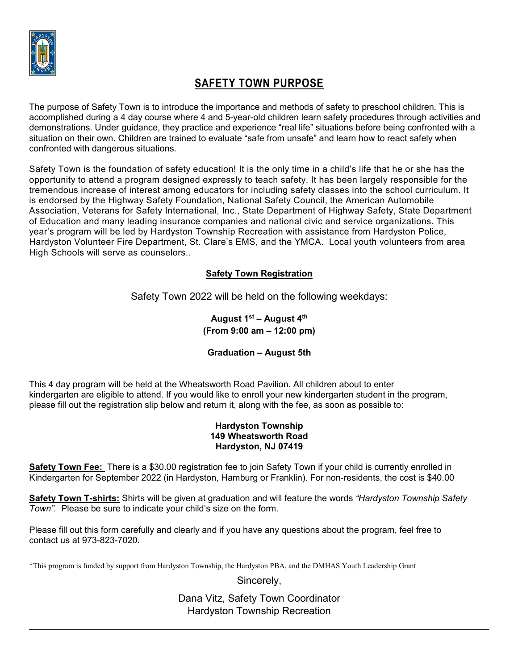

# **SAFETY TOWN PURPOSE**

The purpose of Safety Town is to introduce the importance and methods of safety to preschool children. This is accomplished during a 4 day course where 4 and 5-year-old children learn safety procedures through activities and demonstrations. Under guidance, they practice and experience "real life" situations before being confronted with a situation on their own. Children are trained to evaluate "safe from unsafe" and learn how to react safely when confronted with dangerous situations.

Safety Town is the foundation of safety education! It is the only time in a child's life that he or she has the opportunity to attend a program designed expressly to teach safety. It has been largely responsible for the tremendous increase of interest among educators for including safety classes into the school curriculum. It is endorsed by the Highway Safety Foundation, National Safety Council, the American Automobile Association, Veterans for Safety International, Inc., State Department of Highway Safety, State Department of Education and many leading insurance companies and national civic and service organizations. This year's program will be led by Hardyston Township Recreation with assistance from Hardyston Police, Hardyston Volunteer Fire Department, St. Clare's EMS, and the YMCA. Local youth volunteers from area High Schools will serve as counselors..

## **Safety Town Registration**

Safety Town 2022 will be held on the following weekdays:

**August 1st – August 4th (From 9:00 am – 12:00 pm)** 

### **Graduation – August 5th**

This 4 day program will be held at the Wheatsworth Road Pavilion. All children about to enter kindergarten are eligible to attend. If you would like to enroll your new kindergarten student in the program, please fill out the registration slip below and return it, along with the fee, as soon as possible to:

#### **Hardyston Township 149 Wheatsworth Road Hardyston, NJ 07419**

**Safety Town Fee:** There is a \$30.00 registration fee to join Safety Town if your child is currently enrolled in Kindergarten for September 2022 (in Hardyston, Hamburg or Franklin). For non-residents, the cost is \$40.00

**Safety Town T-shirts:** Shirts will be given at graduation and will feature the words *"Hardyston Township Safety Town".* Please be sure to indicate your child's size on the form.

Please fill out this form carefully and clearly and if you have any questions about the program, feel free to contact us at 973-823-7020.

\*This program is funded by support from Hardyston Township, the Hardyston PBA, and the DMHAS Youth Leadership Grant

Sincerely,

Dana Vitz, Safety Town Coordinator Hardyston Township Recreation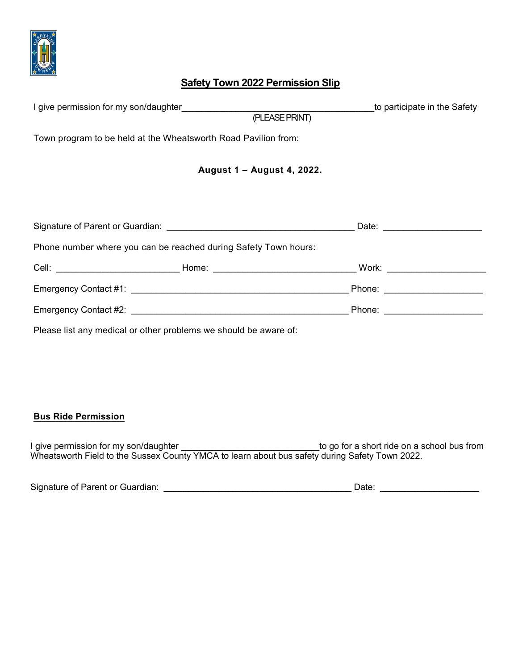

## **Safety Town 2022 Permission Slip**

| I give permission for my son/daughter states and a state of the state of the state of the state of the state o  |                            |                | to participate in the Safety                                                                                  |
|-----------------------------------------------------------------------------------------------------------------|----------------------------|----------------|---------------------------------------------------------------------------------------------------------------|
|                                                                                                                 |                            | (PLEASE PRINT) |                                                                                                               |
| Town program to be held at the Wheatsworth Road Pavilion from:                                                  |                            |                |                                                                                                               |
|                                                                                                                 | August 1 - August 4, 2022. |                |                                                                                                               |
|                                                                                                                 |                            |                |                                                                                                               |
|                                                                                                                 |                            |                | Date: <u>_____________________</u>                                                                            |
| Phone number where you can be reached during Safety Town hours:                                                 |                            |                |                                                                                                               |
|                                                                                                                 |                            |                |                                                                                                               |
|                                                                                                                 |                            |                | Phone: _____________________                                                                                  |
| Emergency Contact #2: Later and the contract of the contract of the contract of the contract of the contract of |                            |                | Phone: All and the state of the state of the state of the state of the state of the state of the state of the |
| Please list any medical or other problems we should be aware of:                                                |                            |                |                                                                                                               |

### **Bus Ride Permission**

I give permission for my son/daughter \_\_\_\_\_\_\_\_\_\_\_\_\_\_\_\_\_\_\_\_\_\_\_\_\_\_\_\_\_\_\_to go for a short ride on a school bus from Wheatsworth Field to the Sussex County YMCA to learn about bus safety during Safety Town 2022.

| Signature of Parent or Guardian: |  |  |  |
|----------------------------------|--|--|--|
|----------------------------------|--|--|--|